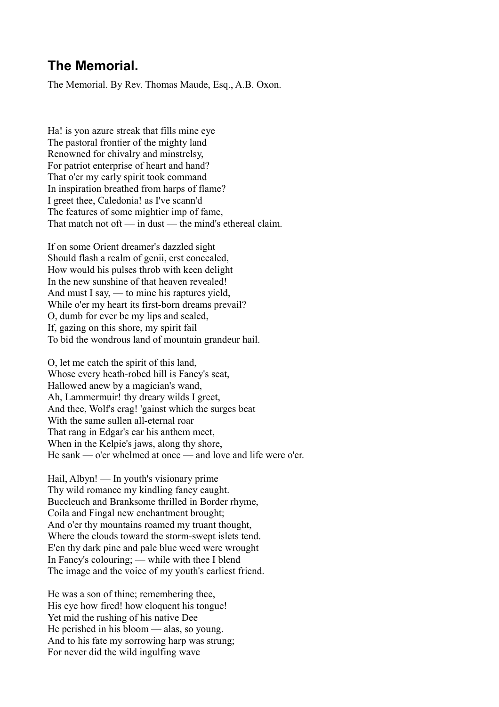## **The Memorial.**

The Memorial. By Rev. Thomas Maude, Esq., A.B. Oxon.

Ha! is yon azure streak that fills mine eye The pastoral frontier of the mighty land Renowned for chivalry and minstrelsy, For patriot enterprise of heart and hand? That o'er my early spirit took command In inspiration breathed from harps of flame? I greet thee, Caledonia! as I've scann'd The features of some mightier imp of fame, That match not oft — in dust — the mind's ethereal claim.

If on some Orient dreamer's dazzled sight Should flash a realm of genii, erst concealed, How would his pulses throb with keen delight In the new sunshine of that heaven revealed! And must I say, — to mine his raptures yield, While o'er my heart its first-born dreams prevail? O, dumb for ever be my lips and sealed, If, gazing on this shore, my spirit fail To bid the wondrous land of mountain grandeur hail.

O, let me catch the spirit of this land, Whose every heath-robed hill is Fancy's seat, Hallowed anew by a magician's wand, Ah, Lammermuir! thy dreary wilds I greet, And thee, Wolf's crag! 'gainst which the surges beat With the same sullen all-eternal roar That rang in Edgar's ear his anthem meet, When in the Kelpie's jaws, along thy shore, He sank —  $\alpha$ 'er whelmed at once — and love and life were  $\alpha$ 'er.

Hail, Albyn! — In youth's visionary prime Thy wild romance my kindling fancy caught. Buccleuch and Branksome thrilled in Border rhyme, Coila and Fingal new enchantment brought; And o'er thy mountains roamed my truant thought, Where the clouds toward the storm-swept islets tend. E'en thy dark pine and pale blue weed were wrought In Fancy's colouring; — while with thee I blend The image and the voice of my youth's earliest friend.

He was a son of thine; remembering thee, His eye how fired! how eloquent his tongue! Yet mid the rushing of his native Dee He perished in his bloom — alas, so young. And to his fate my sorrowing harp was strung; For never did the wild ingulfing wave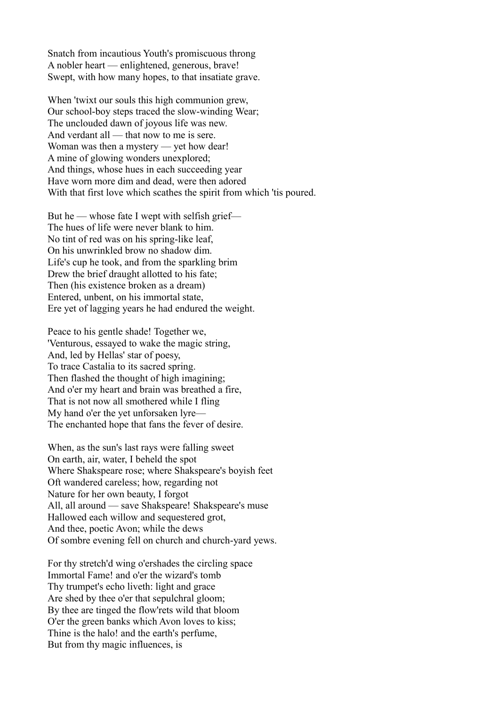Snatch from incautious Youth's promiscuous throng A nobler heart — enlightened, generous, brave! Swept, with how many hopes, to that insatiate grave.

When 'twixt our souls this high communion grew, Our school-boy steps traced the slow-winding Wear; The unclouded dawn of joyous life was new. And verdant all — that now to me is sere. Woman was then a mystery — yet how dear! A mine of glowing wonders unexplored; And things, whose hues in each succeeding year Have worn more dim and dead, were then adored With that first love which scathes the spirit from which 'tis poured.

But he — whose fate I wept with selfish grief— The hues of life were never blank to him. No tint of red was on his spring-like leaf, On his unwrinkled brow no shadow dim. Life's cup he took, and from the sparkling brim Drew the brief draught allotted to his fate; Then (his existence broken as a dream) Entered, unbent, on his immortal state, Ere yet of lagging years he had endured the weight.

Peace to his gentle shade! Together we, 'Venturous, essayed to wake the magic string, And, led by Hellas' star of poesy, To trace Castalia to its sacred spring. Then flashed the thought of high imagining; And o'er my heart and brain was breathed a fire, That is not now all smothered while I fling My hand o'er the yet unforsaken lyre— The enchanted hope that fans the fever of desire.

When, as the sun's last rays were falling sweet On earth, air, water, I beheld the spot Where Shakspeare rose; where Shakspeare's boyish feet Oft wandered careless; how, regarding not Nature for her own beauty, I forgot All, all around — save Shakspeare! Shakspeare's muse Hallowed each willow and sequestered grot, And thee, poetic Avon; while the dews Of sombre evening fell on church and church-yard yews.

For thy stretch'd wing o'ershades the circling space Immortal Fame! and o'er the wizard's tomb Thy trumpet's echo liveth: light and grace Are shed by thee o'er that sepulchral gloom; By thee are tinged the flow'rets wild that bloom O'er the green banks which Avon loves to kiss; Thine is the halo! and the earth's perfume, But from thy magic influences, is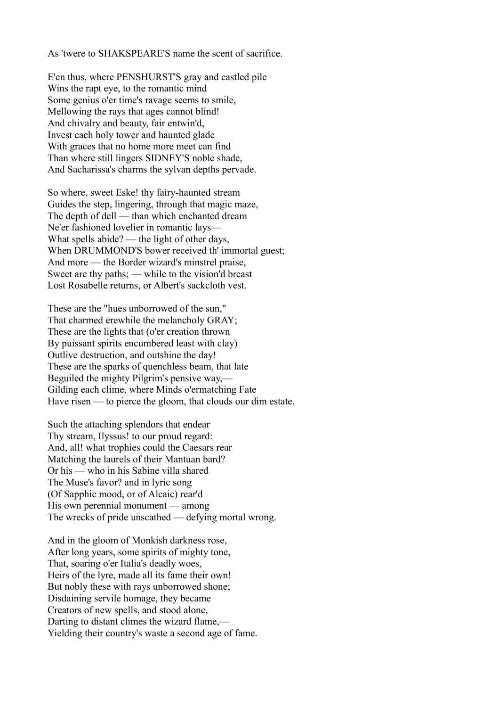As 'twere to SHAKSPEARE'S name the scent of sacrifice.

E'en thus, where PENSHURST'S gray and castled pile Wins the rapt eye, to the romantic mind Some genius o'er time's ravage seems to smile, Mellowing the rays that ages cannot blind! And chivalry and beauty, fair entwin'd, Invest each holy tower and haunted glade With graces that no home more meet can find Than where still lingers SIDNEY'S noble shade, And Sacharissa's charms the sylvan depths pervade.

So where, sweet Eske! thy fairy-haunted stream Guides the step, lingering, through that magic maze, The depth of dell — than which enchanted dream Ne'er fashioned lovelier in romantic lays— What spells abide? — the light of other days, When DRUMMOND'S bower received th' immortal guest; And more — the Border wizard's minstrel praise, Sweet are thy paths; — while to the vision'd breast Lost Rosabelle returns, or Albert's sackcloth vest.

These are the "hues unborrowed of the sun," That charmed erewhile the melancholy GRAY; These are the lights that (o'er creation thrown By puissant spirits encumbered least with clay) Outlive destruction, and outshine the day! These are the sparks of quenchless beam, that late Beguiled the mighty Pilgrim's pensive way,— Gilding each clime, where Minds o'ermatching Fate Have risen — to pierce the gloom, that clouds our dim estate.

Such the attaching splendors that endear Thy stream, Ilyssus! to our proud regard: And, all! what trophies could the Caesars rear Matching the laurels of their Mantuan bard? Or his — who in his Sabine villa shared The Muse's favor? and in lyric song (Of Sapphic mood, or of Alcaic) rear'd His own perennial monument — among The wrecks of pride unscathed — defying mortal wrong.

And in the gloom of Monkish darkness rose, After long years, some spirits of mighty tone, That, soaring o'er Italia's deadly woes, Heirs of the lyre, made all its fame their own! But nobly these with rays unborrowed shone; Disdaining servile homage, they became Creators of new spells, and stood alone, Darting to distant climes the wizard flame,— Yielding their country's waste a second age of fame.